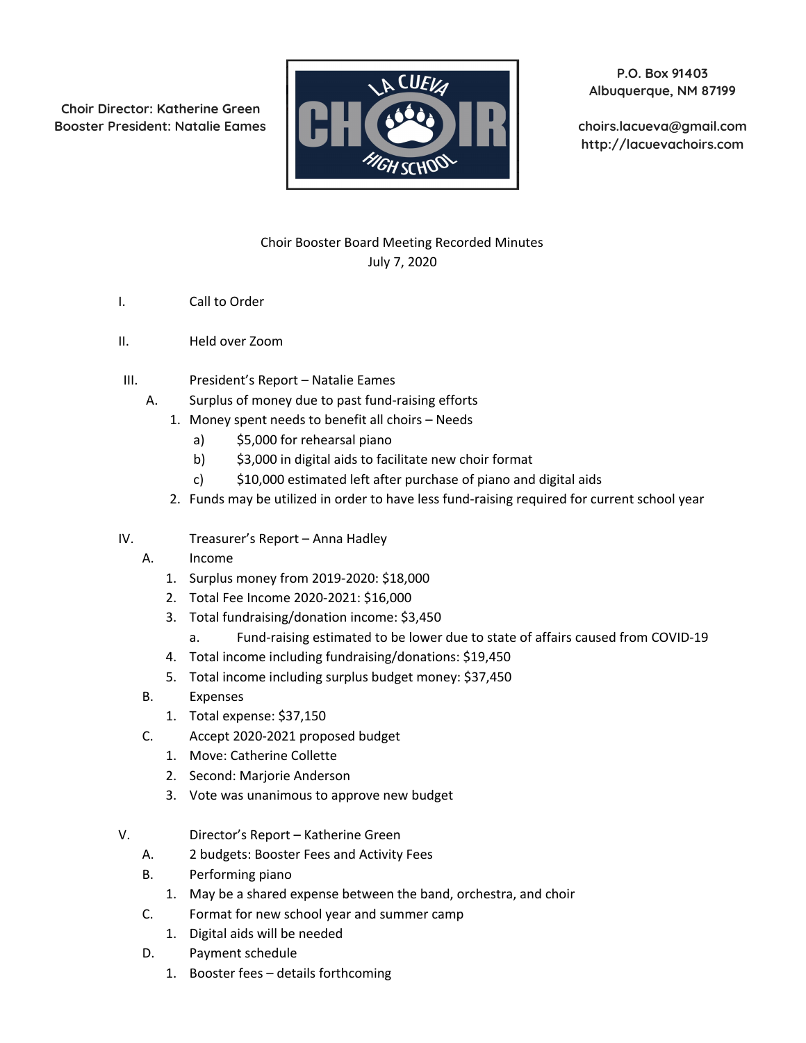**Choir Director: Katherine Green**



**P.O. Box 91403 Albuquerque, NM 87199**

**http://lacuevachoirs.com**

## Choir Booster Board Meeting Recorded Minutes July 7, 2020

- I. Call to Order
- II. Held over Zoom
- III. President's Report Natalie Eames
	- A. Surplus of money due to past fund-raising efforts
		- 1. Money spent needs to benefit all choirs Needs
			- a) \$5,000 for rehearsal piano
			- b) \$3,000 in digital aids to facilitate new choir format
			- c) \$10,000 estimated left after purchase of piano and digital aids
		- 2. Funds may be utilized in order to have less fund-raising required for current school year
- IV. Treasurer's Report Anna Hadley
	- A. Income
		- 1. Surplus money from 2019-2020: \$18,000
		- 2. Total Fee Income 2020-2021: \$16,000
		- 3. Total fundraising/donation income: \$3,450
			- a. Fund-raising estimated to be lower due to state of affairs caused from COVID-19
		- 4. Total income including fundraising/donations: \$19,450
		- 5. Total income including surplus budget money: \$37,450
	- B. Expenses
		- 1. Total expense: \$37,150
	- C. Accept 2020-2021 proposed budget
		- 1. Move: Catherine Collette
		- 2. Second: Marjorie Anderson
		- 3. Vote was unanimous to approve new budget
- V. Director's Report Katherine Green
	- A. 2 budgets: Booster Fees and Activity Fees
	- B. Performing piano
		- 1. May be a shared expense between the band, orchestra, and choir
	- C. Format for new school year and summer camp
		- 1. Digital aids will be needed
	- D. Payment schedule
		- 1. Booster fees details forthcoming